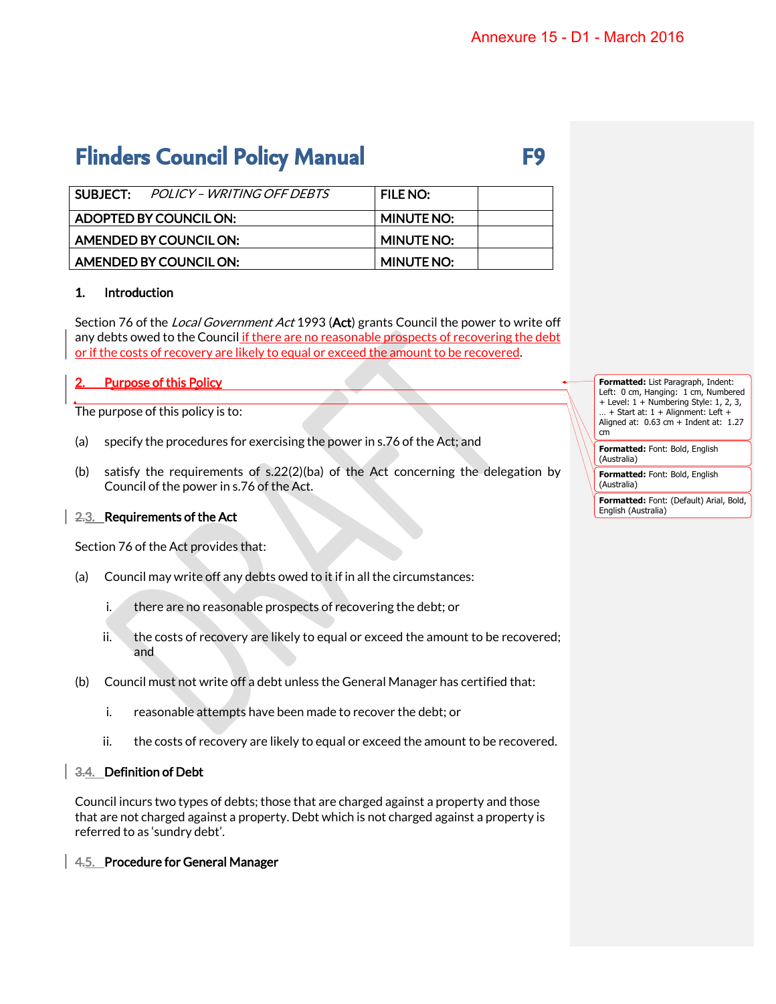## **Flinders Council Policy Manual**

| v       |
|---------|
| ł<br>۰. |

| SUBJECT: POLICY – WRITING OFF DEBTS | I FILE NO:        |
|-------------------------------------|-------------------|
| ADOPTED BY COUNCIL ON:              | <b>MINUTE NO:</b> |
| AMENDED BY COUNCIL ON:              | MINUTE NO:        |
| AMENDED BY COUNCIL ON:              | <b>MINUTE NO:</b> |

### 1. Introduction

Section 76 of the *Local Government Act* 1993 (Act) grants Council the power to write off any debts owed to the Council if there are no reasonable prospects of recovering the debt or if the costs of recovery are likely to equal or exceed the amount to be recovered.

### **Purpose of this Policy**

The purpose of this policy is to:

- (a) specify the procedures for exercising the power in s.76 of the Act; and
- (b) satisfy the requirements of s.22(2)(ba) of the Act concerning the delegation by Council of the power in s.76 of the Act.

### 2.3. Requirements of the Act

Section 76 of the Act provides that:

- (a) Council may write off any debts owed to it if in all the circumstances:
	- i. there are no reasonable prospects of recovering the debt; or
	- ii. the costs of recovery are likely to equal or exceed the amount to be recovered; and
- (b) Council must not write off a debt unless the General Manager has certified that:
	- i. reasonable attempts have been made to recover the debt; or
	- ii. the costs of recovery are likely to equal or exceed the amount to be recovered.

### 3.4. Definition of Debt

Council incurs two types of debts; those that are charged against a property and those that are not charged against a property. Debt which is not charged against a property is referred to as 'sundry debt'.

### 4.5. Procedure for General Manager

**Formatted:** List Paragraph, Indent: Left: 0 cm, Hanging: 1 cm, Numbered + Level: 1 + Numbering Style: 1, 2, 3,  $+$  Start at: 1 + Alignment: Left + Aligned at:  $0.63$  cm  $+$  Indent at: 1.27 cm

**Formatted:** Font: Bold, English (Australia)

**Formatted:** Font: Bold, English (Australia)

**Formatted:** Font: (Default) Arial, Bold, English (Australia)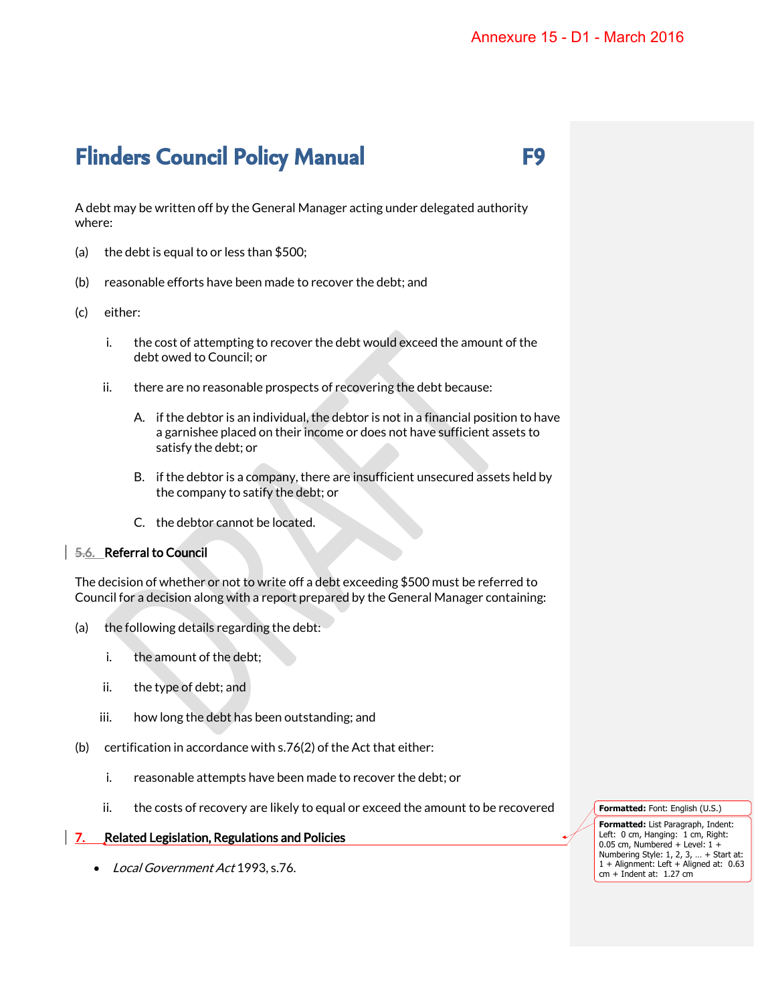## **Flinders Council Policy Manual F9**

A debt may be written off by the General Manager acting under delegated authority where:

- (a) the debt is equal to or less than \$500;
- (b) reasonable efforts have been made to recover the debt; and
- (c) either:
	- i. the cost of attempting to recover the debt would exceed the amount of the debt owed to Council; or
	- ii. there are no reasonable prospects of recovering the debt because:
		- A. if the debtor is an individual, the debtor is not in a financial position to have a garnishee placed on their income or does not have sufficient assets to satisfy the debt; or
		- B. if the debtor is a company, there are insufficient unsecured assets held by the company to satify the debt; or
		- C. the debtor cannot be located.

### 5.6. Referral to Council

The decision of whether or not to write off a debt exceeding \$500 must be referred to Council for a decision along with a report prepared by the General Manager containing:

- (a) the following details regarding the debt:
	- i. the amount of the debt;
	- ii. the type of debt; and
	- iii. how long the debt has been outstanding; and
- (b) certification in accordance with  $s.76(2)$  of the Act that either:
	- i. reasonable attempts have been made to recover the debt; or
	- ii. the costs of recovery are likely to equal or exceed the amount to be recovered

#### **7.** Related Legislation, Regulations and Policies

• Local Government Act 1993, s.76.

**Formatted:** Font: English (U.S.)

**Formatted:** List Paragraph, Indent: Left: 0 cm, Hanging: 1 cm, Right: 0.05 cm, Numbered + Level: 1 + Numbering Style: 1, 2, 3, … + Start at: 1 + Alignment: Left + Aligned at: 0.63  $cm + Indent$  at: 1.27  $cm<sup>2</sup>$